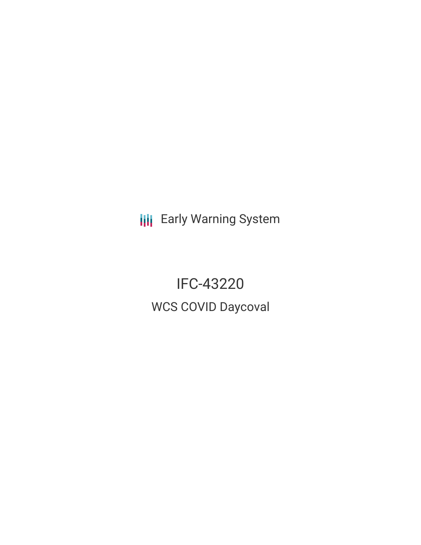**III** Early Warning System

IFC-43220 WCS COVID Daycoval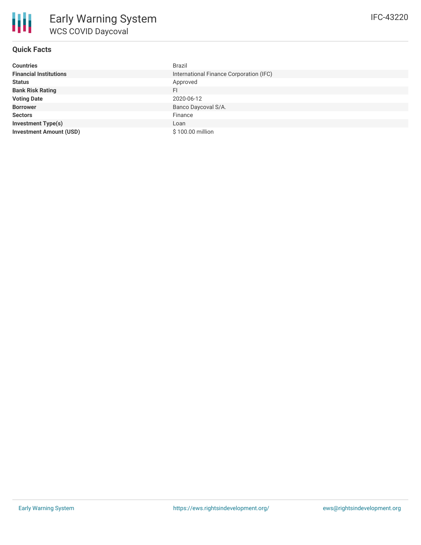# **Quick Facts**

| <b>Countries</b>               | Brazil                                  |
|--------------------------------|-----------------------------------------|
| <b>Financial Institutions</b>  | International Finance Corporation (IFC) |
| <b>Status</b>                  | Approved                                |
| <b>Bank Risk Rating</b>        | FI                                      |
| <b>Voting Date</b>             | 2020-06-12                              |
| <b>Borrower</b>                | Banco Daycoval S/A.                     |
| <b>Sectors</b>                 | Finance                                 |
| <b>Investment Type(s)</b>      | Loan                                    |
| <b>Investment Amount (USD)</b> | \$100.00 million                        |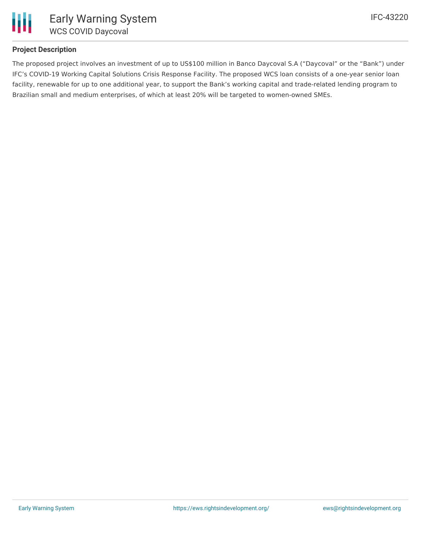

# **Project Description**

The proposed project involves an investment of up to US\$100 million in Banco Daycoval S.A ("Daycoval" or the "Bank") under IFC's COVID-19 Working Capital Solutions Crisis Response Facility. The proposed WCS loan consists of a one-year senior loan facility, renewable for up to one additional year, to support the Bank's working capital and trade-related lending program to Brazilian small and medium enterprises, of which at least 20% will be targeted to women-owned SMEs.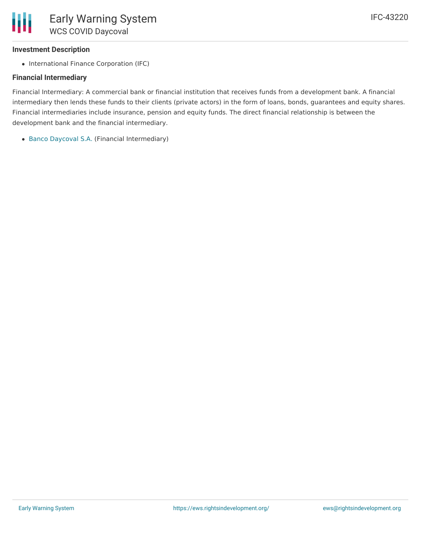### **Investment Description**

• International Finance Corporation (IFC)

### **Financial Intermediary**

Financial Intermediary: A commercial bank or financial institution that receives funds from a development bank. A financial intermediary then lends these funds to their clients (private actors) in the form of loans, bonds, guarantees and equity shares. Financial intermediaries include insurance, pension and equity funds. The direct financial relationship is between the development bank and the financial intermediary.

Banco [Daycoval](file:///actor/877/) S.A. (Financial Intermediary)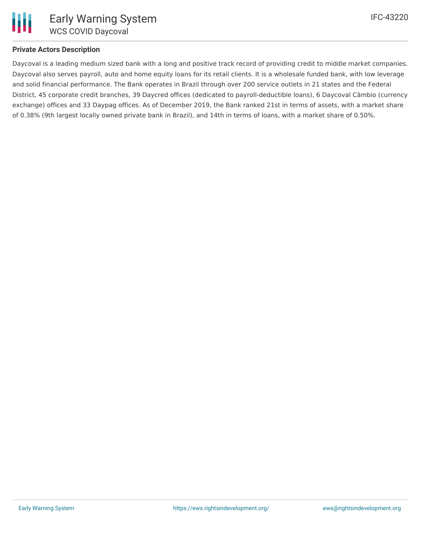### **Private Actors Description**

Daycoval is a leading medium sized bank with a long and positive track record of providing credit to middle market companies. Daycoval also serves payroll, auto and home equity loans for its retail clients. It is a wholesale funded bank, with low leverage and solid financial performance. The Bank operates in Brazil through over 200 service outlets in 21 states and the Federal District, 45 corporate credit branches, 39 Daycred offices (dedicated to payroll-deductible loans), 6 Daycoval Câmbio (currency exchange) offices and 33 Daypag offices. As of December 2019, the Bank ranked 21st in terms of assets, with a market share of 0.38% (9th largest locally owned private bank in Brazil), and 14th in terms of loans, with a market share of 0.50%.